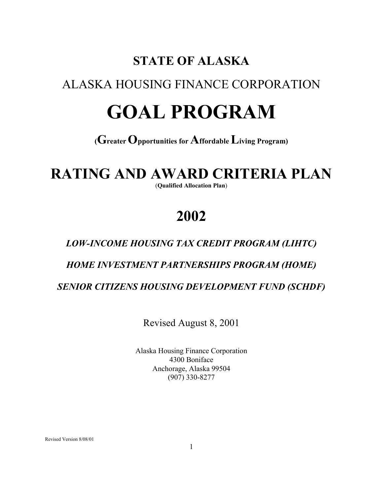# **STATE OF ALASKA**

## ALASKA HOUSING FINANCE CORPORATION

# **GOAL PROGRAM**

### **(Greater Opportunities for Affordable Living Program)**

# **RATING AND AWARD CRITERIA PLAN**

(**Qualified Allocation Plan**)

# **2002**

### *LOW-INCOME HOUSING TAX CREDIT PROGRAM (LIHTC)*

### *HOME INVESTMENT PARTNERSHIPS PROGRAM (HOME)*

 *SENIOR CITIZENS HOUSING DEVELOPMENT FUND (SCHDF)*

Revised August 8, 2001

 Alaska Housing Finance Corporation 4300 Boniface Anchorage, Alaska 99504 (907) 330-8277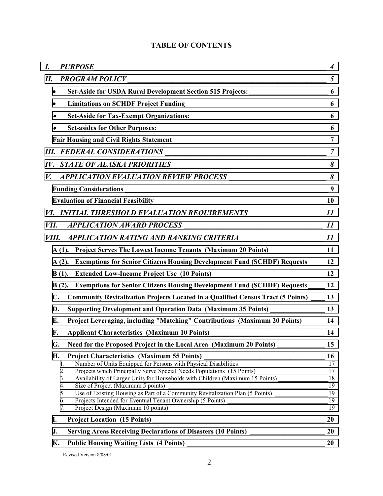| I.               | <b>PURPOSE</b>                                                                                                                                                        | $\boldsymbol{4}$ |
|------------------|-----------------------------------------------------------------------------------------------------------------------------------------------------------------------|------------------|
| П.               |                                                                                                                                                                       |                  |
|                  |                                                                                                                                                                       |                  |
|                  |                                                                                                                                                                       |                  |
|                  |                                                                                                                                                                       | 6                |
|                  |                                                                                                                                                                       |                  |
|                  |                                                                                                                                                                       |                  |
|                  |                                                                                                                                                                       | $\overline{7}$   |
| $I\mathcal{V}$ . |                                                                                                                                                                       |                  |
| V.               |                                                                                                                                                                       |                  |
|                  |                                                                                                                                                                       |                  |
|                  |                                                                                                                                                                       |                  |
|                  | VI. INITIAL THRESHOLD EVALUATION REQUIREMENTS___________________________________11                                                                                    |                  |
| VII.             |                                                                                                                                                                       |                  |
| VIII.            |                                                                                                                                                                       |                  |
|                  | A (1). Project Serves The Lowest Income Tenants (Maximum 20 Points) _______________________11                                                                         |                  |
|                  | A (2). Exemptions for Senior Citizens Housing Development Fund (SCHDF) Requests 12                                                                                    |                  |
|                  | $B(1)$ .                                                                                                                                                              |                  |
|                  | B (2). Exemptions for Senior Citizens Housing Development Fund (SCHDF) Requests 12                                                                                    |                  |
| $\mathbf{C}$ .   | Community Revitalization Projects Located in a Qualified Census Tract (5 Points) ____ 13                                                                              |                  |
| D.               | Supporting Development and Operation Data (Maximum 35 Points) __________________ 13                                                                                   |                  |
| Е.               | Project Leveraging, including "Matching" Contributions (Maximum 20 Points) _____ 14                                                                                   |                  |
| F.               | Applicant Characteristics (Maximum 10 Points) ___________________________________14                                                                                   |                  |
| G.               | Need for the Proposed Project in the Local Area (Maximum 20 Points) ______________________ 15                                                                         |                  |
| Н.               | <b>Project Characteristics (Maximum 55 Points)</b><br>To ject Characteristics (Maximum 55 Points)<br>Number of Units Equipped for Persons with Physical Disabilities  | 16               |
|                  | 1.<br>Projects which Principally Serve Special Needs Populations (15 Points)<br>2.                                                                                    | 17<br>17         |
|                  | Availability of Larger Units for Households with Children (Maximum 15 Points) _____________________<br>3.                                                             | 18               |
|                  | Size of Project (Maximum 5 points)<br>4.<br>Size of Project (Maximum 5 points)<br>Use of Existing Housing as Part of a Community Revitalization Plan (5 Points)<br>5. | 19<br>19         |
|                  | Projects Intended for Eventual Tenant Ownership (5 Points)<br>6.                                                                                                      | 19               |
|                  | 7.                                                                                                                                                                    | 19               |
| I.               |                                                                                                                                                                       | 20               |
| J.               | <b>Serving Areas Receiving Declarations of Disasters (10 Points)</b>                                                                                                  | 20               |
| К.               |                                                                                                                                                                       | 20               |

#### **TABLE OF CONTENTS**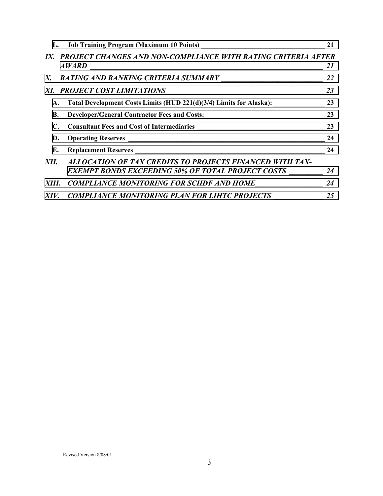|           |                                                                                                                                                                                                             | 21 |
|-----------|-------------------------------------------------------------------------------------------------------------------------------------------------------------------------------------------------------------|----|
|           | IX. PROJECT CHANGES AND NON-COMPLIANCE WITH RATING CRITERIA AFTER<br><b>AWARD</b><br><u> 1980 - Andrea Aonaichte, ann an t-Èireann an t-Èireann an t-Èireann an t-Èireann an t-Èireann an t-Èireann an </u> | 21 |
| X.        |                                                                                                                                                                                                             | 22 |
|           | XI. PROJECT COST LIMITATIONS                                                                                                                                                                                | 23 |
| A.        | Total Development Costs Limits (HUD 221(d)(3/4) Limits for Alaska): 23                                                                                                                                      |    |
| <b>B.</b> | Developer/General Contractor Fees and Costs: 23                                                                                                                                                             |    |
|           | Consultant Fees and Cost of Intermediaries 23                                                                                                                                                               |    |
| D.        |                                                                                                                                                                                                             | 24 |
| E.        |                                                                                                                                                                                                             | 24 |
| XII.      | ALLOCATION OF TAX CREDITS TO PROJECTS FINANCED WITH TAX-<br>EXEMPT BONDS EXCEEDING 50% OF TOTAL PROJECT COSTS                                                                                               | 24 |
|           | XIII. COMPLIANCE MONITORING FOR SCHDF AND HOME                                                                                                                                                              | 24 |
|           | XIV. COMPLIANCE MONITORING PLAN FOR LIHTC PROJECTS                                                                                                                                                          | 25 |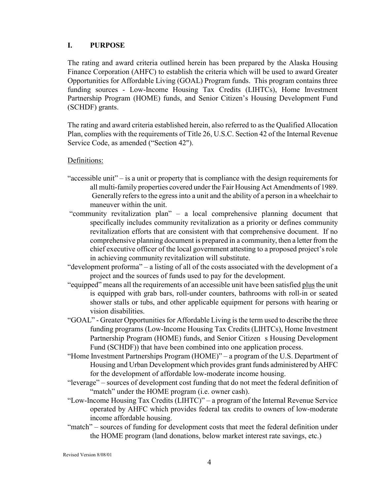#### <span id="page-3-0"></span>**I. PURPOSE**

The rating and award criteria outlined herein has been prepared by the Alaska Housing Finance Corporation (AHFC) to establish the criteria which will be used to award Greater Opportunities for Affordable Living (GOAL) Program funds. This program contains three funding sources - Low-Income Housing Tax Credits (LIHTCs), Home Investment Partnership Program (HOME) funds, and Senior Citizen's Housing Development Fund (SCHDF) grants.

The rating and award criteria established herein, also referred to as the Qualified Allocation Plan, complies with the requirements of Title 26, U.S.C. Section 42 of the Internal Revenue Service Code, as amended ("Section 42").

#### Definitions:

- "accessible unit" is a unit or property that is compliance with the design requirements for all multi-family properties covered under the Fair Housing Act Amendments of 1989. Generally refers to the egress into a unit and the ability of a person in a wheelchair to maneuver within the unit.
- "community revitalization plan" a local comprehensive planning document that specifically includes community revitalization as a priority or defines community revitalization efforts that are consistent with that comprehensive document. If no comprehensive planning document is prepared in a community, then a letter from the chief executive officer of the local government attesting to a proposed project's role in achieving community revitalization will substitute.
- "development proforma" a listing of all of the costs associated with the development of a project and the sources of funds used to pay for the development.
- "equipped" means all the requirements of an accessible unit have been satisfied plus the unit is equipped with grab bars, roll-under counters, bathrooms with roll-in or seated shower stalls or tubs, and other applicable equipment for persons with hearing or vision disabilities.
- "GOAL" Greater Opportunities for Affordable Living is the term used to describe the three funding programs (Low-Income Housing Tax Credits (LIHTCs), Home Investment Partnership Program (HOME) funds, and Senior Citizen s Housing Development Fund (SCHDF)) that have been combined into one application process.
- "Home Investment Partnerships Program (HOME)" a program of the U.S. Department of Housing and Urban Development which provides grant funds administered by AHFC for the development of affordable low-moderate income housing.
- "leverage" sources of development cost funding that do not meet the federal definition of "match" under the HOME program (*i.e.* owner cash).
- "Low-Income Housing Tax Credits (LIHTC)" a program of the Internal Revenue Service operated by AHFC which provides federal tax credits to owners of low-moderate income affordable housing.
- "match" sources of funding for development costs that meet the federal definition under the HOME program (land donations, below market interest rate savings, etc.)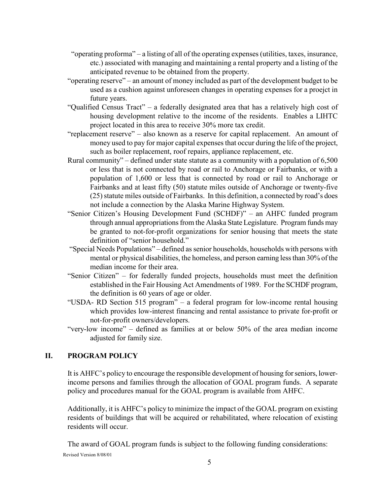- <span id="page-4-0"></span> "operating proforma" – a listing of all of the operating expenses (utilities, taxes, insurance, etc.) associated with managing and maintaining a rental property and a listing of the anticipated revenue to be obtained from the property.
- "operating reserve" an amount of money included as part of the development budget to be used as a cushion against unforeseen changes in operating expenses for a proejct in future years.
- "Qualified Census Tract" a federally designated area that has a relatively high cost of housing development relative to the income of the residents. Enables a LIHTC project located in this area to receive 30% more tax credit.
- "replacement reserve" also known as a reserve for capital replacement. An amount of money used to pay for major capital expenses that occur during the life of the project, such as boiler replacement, roof repairs, appliance replacement, etc.
- Rural community" defined under state statute as a community with a population of 6,500 or less that is not connected by road or rail to Anchorage or Fairbanks, or with a population of 1,600 or less that is connected by road or rail to Anchorage or Fairbanks and at least fifty (50) statute miles outside of Anchorage or twenty-five (25) statute miles outside of Fairbanks. In this definition, a connected by road's does not include a connection by the Alaska Marine Highway System.
- "Senior Citizen's Housing Development Fund (SCHDF)" an AHFC funded program through annual appropriations from the Alaska State Legislature. Program funds may be granted to not-for-profit organizations for senior housing that meets the state definition of "senior household."
- "Special Needs Populations" defined as senior households, households with persons with mental or physical disabilities, the homeless, and person earning less than 30% of the median income for their area.
- "Senior Citizen" for federally funded projects, households must meet the definition established in the Fair Housing Act Amendments of 1989. For the SCHDF program, the definition is 60 years of age or older.
- "USDA- RD Section 515 program" a federal program for low-income rental housing which provides low-interest financing and rental assistance to private for-profit or not-for-profit owners/developers.
- "very-low income" defined as families at or below 50% of the area median income adjusted for family size.

#### **II. PROGRAM POLICY**

It is AHFC's policy to encourage the responsible development of housing for seniors, lowerincome persons and families through the allocation of GOAL program funds. A separate policy and procedures manual for the GOAL program is available from AHFC.

Additionally, it is AHFC's policy to minimize the impact of the GOAL program on existing residents of buildings that will be acquired or rehabilitated, where relocation of existing residents will occur.

Revised Version 8/08/01 The award of GOAL program funds is subject to the following funding considerations: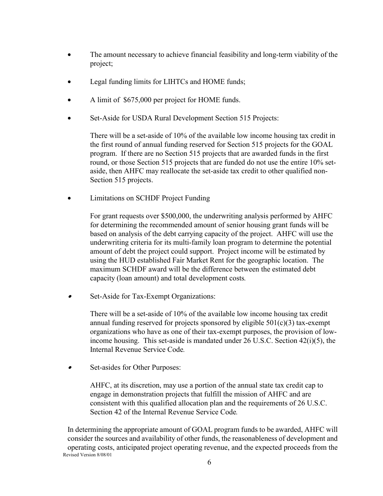- <span id="page-5-0"></span>• The amount necessary to achieve financial feasibility and long-term viability of the project;
- Legal funding limits for LIHTCs and HOME funds;
- A limit of \$675,000 per project for HOME funds.
- Set-Aside for USDA Rural Development Section 515 Projects:

There will be a set-aside of 10% of the available low income housing tax credit in the first round of annual funding reserved for Section 515 projects for the GOAL program. If there are no Section 515 projects that are awarded funds in the first round, or those Section 515 projects that are funded do not use the entire 10% setaside, then AHFC may reallocate the set-aside tax credit to other qualified non-Section 515 projects.

• Limitations on SCHDF Project Funding

For grant requests over \$500,000, the underwriting analysis performed by AHFC for determining the recommended amount of senior housing grant funds will be based on analysis of the debt carrying capacity of the project. AHFC will use the underwriting criteria for its multi-family loan program to determine the potential amount of debt the project could support. Project income will be estimated by using the HUD established Fair Market Rent for the geographic location. The maximum SCHDF award will be the difference between the estimated debt capacity (loan amount) and total development costs*.* 

•Set-Aside for Tax-Exempt Organizations:

> There will be a set-aside of 10% of the available low income housing tax credit annual funding reserved for projects sponsored by eligible  $501(c)(3)$  tax-exempt organizations who have as one of their tax-exempt purposes, the provision of lowincome housing. This set-aside is mandated under  $26$  U.S.C. Section  $42(i)(5)$ , the Internal Revenue Service Code*.*

•Set-asides for Other Purposes:

> AHFC, at its discretion, may use a portion of the annual state tax credit cap to engage in demonstration projects that fulfill the mission of AHFC and are consistent with this qualified allocation plan and the requirements of 26 U.S.C. Section 42 of the Internal Revenue Service Code*.*

Revised Version 8/08/01 In determining the appropriate amount of GOAL program funds to be awarded, AHFC will consider the sources and availability of other funds, the reasonableness of development and operating costs, anticipated project operating revenue, and the expected proceeds from the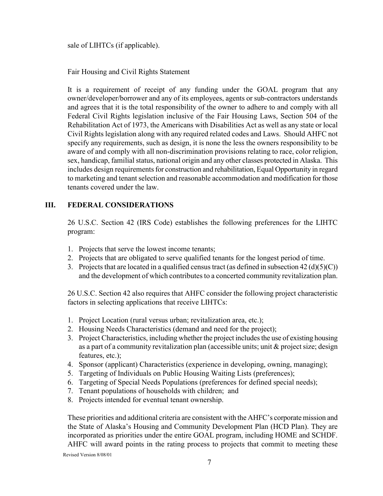<span id="page-6-0"></span>sale of LIHTCs (if applicable).

Fair Housing and Civil Rights Statement

It is a requirement of receipt of any funding under the GOAL program that any owner/developer/borrower and any of its employees, agents or sub-contractors understands and agrees that it is the total responsibility of the owner to adhere to and comply with all Federal Civil Rights legislation inclusive of the Fair Housing Laws, Section 504 of the Rehabilitation Act of 1973, the Americans with Disabilities Act as well as any state or local Civil Rights legislation along with any required related codes and Laws. Should AHFC not specify any requirements, such as design, it is none the less the owners responsibility to be aware of and comply with all non-discrimination provisions relating to race, color religion, sex, handicap, familial status, national origin and any other classes protected in Alaska. This includes design requirements for construction and rehabilitation, Equal Opportunity in regard to marketing and tenant selection and reasonable accommodation and modification for those tenants covered under the law.

#### **III. FEDERAL CONSIDERATIONS**

26 U.S.C. Section 42 (IRS Code) establishes the following preferences for the LIHTC program:

- 1. Projects that serve the lowest income tenants;
- 2. Projects that are obligated to serve qualified tenants for the longest period of time.
- 3. Projects that are located in a qualified census tract (as defined in subsection  $42 \text{ (d)(5)(C)}$ ) and the development of which contributes to a concerted community revitalization plan.

26 U.S.C. Section 42 also requires that AHFC consider the following project characteristic factors in selecting applications that receive LIHTCs:

- 1. Project Location (rural versus urban; revitalization area, etc.);
- 2. Housing Needs Characteristics (demand and need for the project);
- 3. Project Characteristics, including whether the project includes the use of existing housing as a part of a community revitalization plan (accessible units; unit & project size; design features, etc.);
- 4. Sponsor (applicant) Characteristics (experience in developing, owning, managing);
- 5. Targeting of Individuals on Public Housing Waiting Lists (preferences);
- 6. Targeting of Special Needs Populations (preferences for defined special needs);
- 7. Tenant populations of households with children; and
- 8. Projects intended for eventual tenant ownership.

These priorities and additional criteria are consistent with the AHFC's corporate mission and the State of Alaska's Housing and Community Development Plan (HCD Plan). They are incorporated as priorities under the entire GOAL program, including HOME and SCHDF. AHFC will award points in the rating process to projects that commit to meeting these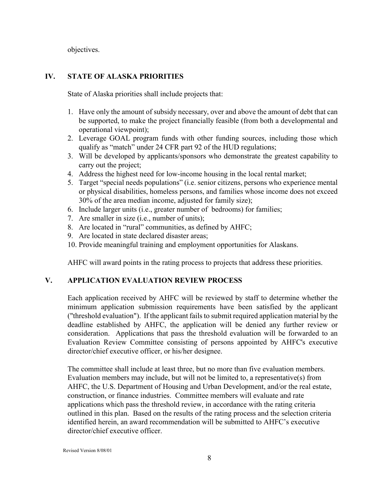<span id="page-7-0"></span>objectives.

#### **IV. STATE OF ALASKA PRIORITIES**

State of Alaska priorities shall include projects that:

- 1. Have only the amount of subsidy necessary, over and above the amount of debt that can be supported, to make the project financially feasible (from both a developmental and operational viewpoint);
- 2. Leverage GOAL program funds with other funding sources, including those which qualify as "match" under 24 CFR part 92 of the HUD regulations;
- 3. Will be developed by applicants/sponsors who demonstrate the greatest capability to carry out the project;
- 4. Address the highest need for low-income housing in the local rental market;
- 5. Target "special needs populations" (i.e. senior citizens, persons who experience mental or physical disabilities, homeless persons, and families whose income does not exceed 30% of the area median income, adjusted for family size);
- 6. Include larger units (i.e., greater number of bedrooms) for families;
- 7. Are smaller in size (i.e., number of units);
- 8. Are located in "rural" communities, as defined by AHFC;
- 9. Are located in state declared disaster areas;
- 10. Provide meaningful training and employment opportunities for Alaskans.

AHFC will award points in the rating process to projects that address these priorities.

#### **V. APPLICATION EVALUATION REVIEW PROCESS**

Each application received by AHFC will be reviewed by staff to determine whether the minimum application submission requirements have been satisfied by the applicant ("threshold evaluation"). If the applicant fails to submit required application material by the deadline established by AHFC, the application will be denied any further review or consideration. Applications that pass the threshold evaluation will be forwarded to an Evaluation Review Committee consisting of persons appointed by AHFC's executive director/chief executive officer, or his/her designee.

The committee shall include at least three, but no more than five evaluation members. Evaluation members may include, but will not be limited to, a representative(s) from AHFC, the U.S. Department of Housing and Urban Development, and/or the real estate, construction, or finance industries. Committee members will evaluate and rate applications which pass the threshold review, in accordance with the rating criteria outlined in this plan. Based on the results of the rating process and the selection criteria identified herein, an award recommendation will be submitted to AHFC's executive director/chief executive officer.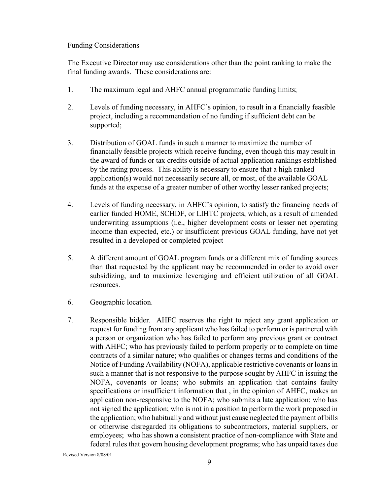#### <span id="page-8-0"></span>Funding Considerations

The Executive Director may use considerations other than the point ranking to make the final funding awards. These considerations are:

- 1. The maximum legal and AHFC annual programmatic funding limits;
- 2. Levels of funding necessary, in AHFC's opinion, to result in a financially feasible project, including a recommendation of no funding if sufficient debt can be supported;
- 3. Distribution of GOAL funds in such a manner to maximize the number of financially feasible projects which receive funding, even though this may result in the award of funds or tax credits outside of actual application rankings established by the rating process. This ability is necessary to ensure that a high ranked application(s) would not necessarily secure all, or most, of the available GOAL funds at the expense of a greater number of other worthy lesser ranked projects;
- 4. Levels of funding necessary, in AHFC's opinion, to satisfy the financing needs of earlier funded HOME, SCHDF, or LIHTC projects, which, as a result of amended underwriting assumptions (i.e., higher development costs or lesser net operating income than expected, etc.) or insufficient previous GOAL funding, have not yet resulted in a developed or completed project
- 5. A different amount of GOAL program funds or a different mix of funding sources than that requested by the applicant may be recommended in order to avoid over subsidizing, and to maximize leveraging and efficient utilization of all GOAL resources.
- 6. Geographic location.
- 7. Responsible bidder. AHFC reserves the right to reject any grant application or request for funding from any applicant who has failed to perform or is partnered with a person or organization who has failed to perform any previous grant or contract with AHFC; who has previously failed to perform properly or to complete on time contracts of a similar nature; who qualifies or changes terms and conditions of the Notice of Funding Availability (NOFA), applicable restrictive covenants or loans in such a manner that is not responsive to the purpose sought by AHFC in issuing the NOFA, covenants or loans; who submits an application that contains faulty specifications or insufficient information that , in the opinion of AHFC, makes an application non-responsive to the NOFA; who submits a late application; who has not signed the application; who is not in a position to perform the work proposed in the application; who habitually and without just cause neglected the payment of bills or otherwise disregarded its obligations to subcontractors, material suppliers, or employees; who has shown a consistent practice of non-compliance with State and federal rules that govern housing development programs; who has unpaid taxes due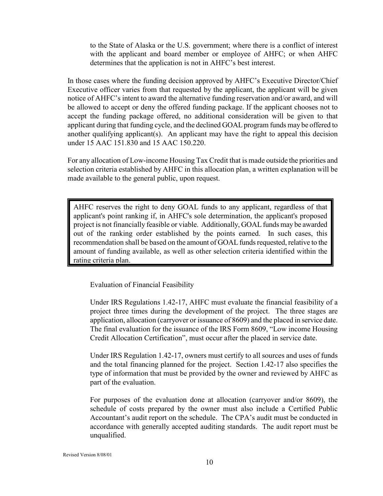<span id="page-9-0"></span>to the State of Alaska or the U.S. government; where there is a conflict of interest with the applicant and board member or employee of AHFC; or when AHFC determines that the application is not in AHFC's best interest.

In those cases where the funding decision approved by AHFC's Executive Director/Chief Executive officer varies from that requested by the applicant, the applicant will be given notice of AHFC's intent to award the alternative funding reservation and/or award, and will be allowed to accept or deny the offered funding package. If the applicant chooses not to accept the funding package offered, no additional consideration will be given to that applicant during that funding cycle, and the declined GOAL program funds may be offered to another qualifying applicant(s). An applicant may have the right to appeal this decision under 15 AAC 151.830 and 15 AAC 150.220.

For any allocation of Low-income Housing Tax Credit that is made outside the priorities and selection criteria established by AHFC in this allocation plan, a written explanation will be made available to the general public, upon request.

AHFC reserves the right to deny GOAL funds to any applicant, regardless of that applicant's point ranking if, in AHFC's sole determination, the applicant's proposed project is not financially feasible or viable. Additionally, GOAL funds may be awarded out of the ranking order established by the points earned. In such cases, this recommendation shall be based on the amount of GOAL funds requested, relative to the amount of funding available, as well as other selection criteria identified within the rating criteria plan.

Evaluation of Financial Feasibility

 Under IRS Regulations 1.42-17, AHFC must evaluate the financial feasibility of a project three times during the development of the project. The three stages are application, allocation (carryover or issuance of 8609) and the placed in service date. The final evaluation for the issuance of the IRS Form 8609, "Low income Housing Credit Allocation Certification", must occur after the placed in service date.

 Under IRS Regulation 1.42-17, owners must certify to all sources and uses of funds and the total financing planned for the project. Section 1.42-17 also specifies the type of information that must be provided by the owner and reviewed by AHFC as part of the evaluation.

 For purposes of the evaluation done at allocation (carryover and/or 8609), the schedule of costs prepared by the owner must also include a Certified Public Accountant's audit report on the schedule. The CPA's audit must be conducted in accordance with generally accepted auditing standards. The audit report must be unqualified.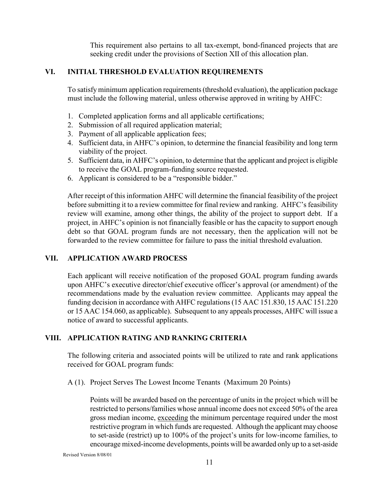This requirement also pertains to all tax-exempt, bond-financed projects that are seeking credit under the provisions of Section XII of this allocation plan.

#### <span id="page-10-0"></span>**VI. INITIAL THRESHOLD EVALUATION REQUIREMENTS**

To satisfy minimum application requirements (threshold evaluation), the application package must include the following material, unless otherwise approved in writing by AHFC:

- 1. Completed application forms and all applicable certifications;
- 2. Submission of all required application material;
- 3. Payment of all applicable application fees;
- 4. Sufficient data, in AHFC's opinion, to determine the financial feasibility and long term viability of the project.
- 5. Sufficient data, in AHFC's opinion, to determine that the applicant and project is eligible to receive the GOAL program-funding source requested.
- 6. Applicant is considered to be a "responsible bidder."

After receipt of this information AHFC will determine the financial feasibility of the project before submitting it to a review committee for final review and ranking. AHFC's feasibility review will examine, among other things, the ability of the project to support debt. If a project, in AHFC's opinion is not financially feasible or has the capacity to support enough debt so that GOAL program funds are not necessary, then the application will not be forwarded to the review committee for failure to pass the initial threshold evaluation.

#### **VII. APPLICATION AWARD PROCESS**

Each applicant will receive notification of the proposed GOAL program funding awards upon AHFC's executive director/chief executive officer's approval (or amendment) of the recommendations made by the evaluation review committee. Applicants may appeal the funding decision in accordance with AHFC regulations (15 AAC 151.830, 15 AAC 151.220 or 15 AAC 154.060, as applicable). Subsequent to any appeals processes, AHFC will issue a notice of award to successful applicants.

#### **VIII. APPLICATION RATING AND RANKING CRITERIA**

The following criteria and associated points will be utilized to rate and rank applications received for GOAL program funds:

A (1). Project Serves The Lowest Income Tenants (Maximum 20 Points)

Points will be awarded based on the percentage of units in the project which will be restricted to persons/families whose annual income does not exceed 50% of the area gross median income, exceeding the minimum percentage required under the most restrictive program in which funds are requested. Although the applicant may choose to set-aside (restrict) up to 100% of the project's units for low-income families, to encourage mixed-income developments, points will be awarded only up to a set-aside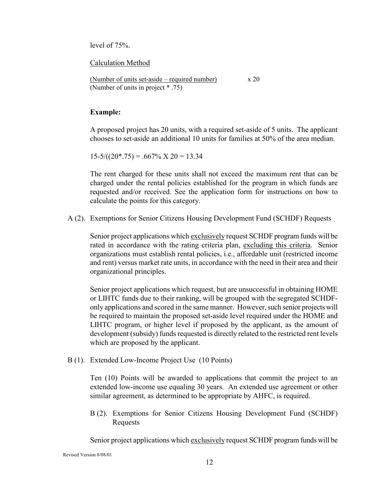<span id="page-11-0"></span>level of 75%.

Calculation Method

(Number of units set-aside – required number) x 20 (Number of units in project \* .75)

#### **Example:**

A proposed project has 20 units, with a required set-aside of 5 units. The applicant chooses to set-aside an additional 10 units for families at 50% of the area median.

 $15-5/((20*.75) = .667\% \times 20 = 13.34$ 

The rent charged for these units shall not exceed the maximum rent that can be charged under the rental policies established for the program in which funds are requested and/or received. See the application form for instructions on how to calculate the points for this category.

A (2). Exemptions for Senior Citizens Housing Development Fund (SCHDF) Requests

Senior project applications which exclusively request SCHDF program funds will be rated in accordance with the rating criteria plan, excluding this criteria. Senior organizations must establish rental policies, i.e., affordable unit (restricted income and rent) versus market rate units, in accordance with the need in their area and their organizational principles.

Senior project applications which request, but are unsuccessful in obtaining HOME or LIHTC funds due to their ranking, will be grouped with the segregated SCHDFonly applications and scored in the same manner. However, such senior projects will be required to maintain the proposed set-aside level required under the HOME and LIHTC program, or higher level if proposed by the applicant, as the amount of development (subsidy) funds requested is directly related to the restricted rent levels which are proposed by the applicant.

B (1). Extended Low-Income Project Use (10 Points)

Ten (10) Points will be awarded to applications that commit the project to an extended low-income use equaling 30 years. An extended use agreement or other similar agreement, as determined to be appropriate by AHFC, is required.

B (2). Exemptions for Senior Citizens Housing Development Fund (SCHDF) Requests

Senior project applications which exclusively request SCHDF program funds will be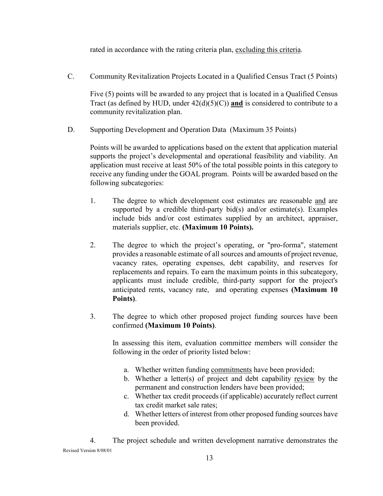rated in accordance with the rating criteria plan, excluding this criteria.

<span id="page-12-0"></span>C. Community Revitalization Projects Located in a Qualified Census Tract (5 Points)

Five (5) points will be awarded to any project that is located in a Qualified Census Tract (as defined by HUD, under  $42(d)(5)(C)$ ) and is considered to contribute to a community revitalization plan.

D. Supporting Development and Operation Data (Maximum 35 Points)

Points will be awarded to applications based on the extent that application material supports the project's developmental and operational feasibility and viability. An application must receive at least 50% of the total possible points in this category to receive any funding under the GOAL program. Points will be awarded based on the following subcategories:

- 1. The degree to which development cost estimates are reasonable and are supported by a credible third-party bid(s) and/or estimate(s). Examples include bids and/or cost estimates supplied by an architect, appraiser, materials supplier, etc. **(Maximum 10 Points).**
- 2. The degree to which the project's operating, or "pro-forma", statement provides a reasonable estimate of all sources and amounts of project revenue, vacancy rates, operating expenses, debt capability, and reserves for replacements and repairs. To earn the maximum points in this subcategory, applicants must include credible, third-party support for the project's anticipated rents, vacancy rate, and operating expenses **(Maximum 10 Points)**.
- 3. The degree to which other proposed project funding sources have been confirmed **(Maximum 10 Points)**.

In assessing this item, evaluation committee members will consider the following in the order of priority listed below:

- a. Whether written funding commitments have been provided;
- b. Whether a letter(s) of project and debt capability review by the permanent and construction lenders have been provided;
- c. Whether tax credit proceeds (if applicable) accurately reflect current tax credit market sale rates;
- d. Whether letters of interest from other proposed funding sources have been provided.

Revised Version 8/08/01 4. The project schedule and written development narrative demonstrates the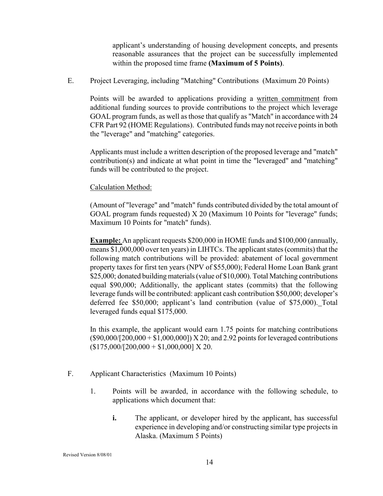applicant's understanding of housing development concepts, and presents reasonable assurances that the project can be successfully implemented within the proposed time frame **(Maximum of 5 Points)**.

<span id="page-13-0"></span>E. Project Leveraging, including "Matching" Contributions (Maximum 20 Points)

Points will be awarded to applications providing a written commitment from additional funding sources to provide contributions to the project which leverage GOAL program funds, as well as those that qualify as "Match" in accordance with 24 CFR Part 92 (HOME Regulations). Contributed funds may not receive points in both the "leverage" and "matching" categories.

Applicants must include a written description of the proposed leverage and "match" contribution(s) and indicate at what point in time the "leveraged" and "matching" funds will be contributed to the project.

#### Calculation Method:

(Amount of "leverage" and "match" funds contributed divided by the total amount of GOAL program funds requested) X 20 (Maximum 10 Points for "leverage" funds; Maximum 10 Points for "match" funds).

**Example:** An applicant requests \$200,000 in HOME funds and \$100,000 (annually, means \$1,000,000 over ten years) in LIHTCs. The applicant states (commits) that the following match contributions will be provided: abatement of local government property taxes for first ten years (NPV of \$55,000); Federal Home Loan Bank grant \$25,000; donated building materials (value of \$10,000). Total Matching contributions equal \$90,000; Additionally, the applicant states (commits) that the following leverage funds will be contributed: applicant cash contribution \$50,000; developer's deferred fee \$50,000; applicant's land contribution (value of \$75,000). Total leveraged funds equal \$175,000.

In this example, the applicant would earn 1.75 points for matching contributions  $($90,000/[200,000 + $1,000,000])$  X 20; and 2.92 points for leveraged contributions  $($175,000/[200,000 + $1,000,000]$  X 20.

- F. Applicant Characteristics (Maximum 10 Points)
	- 1. Points will be awarded, in accordance with the following schedule, to applications which document that:
		- **i.** The applicant, or developer hired by the applicant, has successful experience in developing and/or constructing similar type projects in Alaska. (Maximum 5 Points)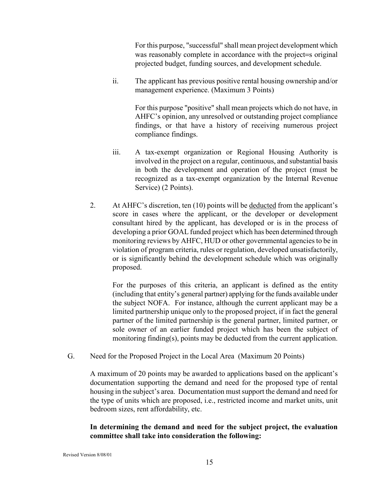For this purpose, "successful" shall mean project development which was reasonably complete in accordance with the project=s original projected budget, funding sources, and development schedule.

<span id="page-14-0"></span>ii. The applicant has previous positive rental housing ownership and/or management experience. (Maximum 3 Points)

> For this purpose "positive" shall mean projects which do not have, in AHFC's opinion, any unresolved or outstanding project compliance findings, or that have a history of receiving numerous project compliance findings.

- iii. A tax-exempt organization or Regional Housing Authority is involved in the project on a regular, continuous, and substantial basis in both the development and operation of the project (must be recognized as a tax-exempt organization by the Internal Revenue Service) (2 Points).
- 2. At AHFC's discretion, ten (10) points will be deducted from the applicant's score in cases where the applicant, or the developer or development consultant hired by the applicant, has developed or is in the process of developing a prior GOAL funded project which has been determined through monitoring reviews by AHFC, HUD or other governmental agencies to be in violation of program criteria, rules or regulation, developed unsatisfactorily, or is significantly behind the development schedule which was originally proposed.

 For the purposes of this criteria, an applicant is defined as the entity (including that entity's general partner) applying for the funds available under the subject NOFA. For instance, although the current applicant may be a limited partnership unique only to the proposed project, if in fact the general partner of the limited partnership is the general partner, limited partner, or sole owner of an earlier funded project which has been the subject of monitoring finding(s), points may be deducted from the current application.

G. Need for the Proposed Project in the Local Area (Maximum 20 Points)

A maximum of 20 points may be awarded to applications based on the applicant's documentation supporting the demand and need for the proposed type of rental housing in the subject's area. Documentation must support the demand and need for the type of units which are proposed, i.e., restricted income and market units, unit bedroom sizes, rent affordability, etc.

#### **In determining the demand and need for the subject project, the evaluation committee shall take into consideration the following:**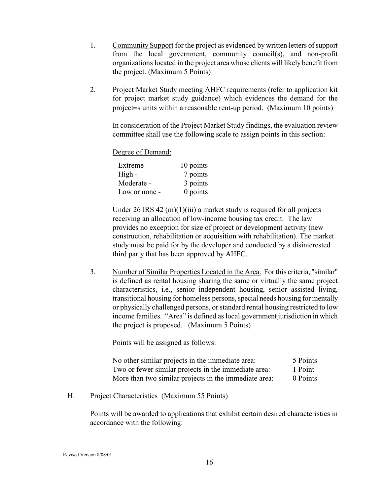- <span id="page-15-0"></span>1. Community Support for the project as evidenced by written letters of support from the local government, community council(s), and non-profit organizations located in the project area whose clients will likely benefit from the project. (Maximum 5 Points)
- 2. Project Market Study meeting AHFC requirements (refer to application kit for project market study guidance) which evidences the demand for the project=s units within a reasonable rent-up period. (Maximum 10 points)

In consideration of the Project Market Study findings, the evaluation review committee shall use the following scale to assign points in this section:

Degree of Demand:

| Extreme -     | 10 points |
|---------------|-----------|
| High -        | 7 points  |
| Moderate -    | 3 points  |
| Low or none - | 0 points  |

Under 26 IRS 42  $(m)(1)(iii)$  a market study is required for all projects receiving an allocation of low-income housing tax credit. The law provides no exception for size of project or development activity (new construction, rehabilitation or acquisition with rehabilitation). The market study must be paid for by the developer and conducted by a disinterested third party that has been approved by AHFC.

3. Number of Similar Properties Located in the Area. For this criteria, "similar" is defined as rental housing sharing the same or virtually the same project characteristics, i.e., senior independent housing, senior assisted living, transitional housing for homeless persons, special needs housing for mentally or physically challenged persons, or standard rental housing restricted to low income families. "Area" is defined as local government jurisdiction in which the project is proposed. (Maximum 5 Points)

Points will be assigned as follows:

| No other similar projects in the immediate area:      | 5 Points |
|-------------------------------------------------------|----------|
| Two or fewer similar projects in the immediate area:  | 1 Point  |
| More than two similar projects in the immediate area: | 0 Points |

H. Project Characteristics (Maximum 55 Points)

Points will be awarded to applications that exhibit certain desired characteristics in accordance with the following: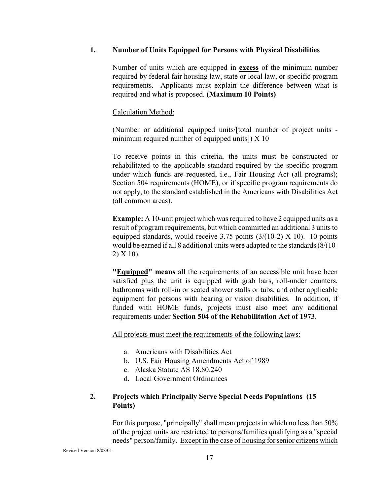#### <span id="page-16-0"></span>**1. Number of Units Equipped for Persons with Physical Disabilities**

Number of units which are equipped in **excess** of the minimum number required by federal fair housing law, state or local law, or specific program requirements. Applicants must explain the difference between what is required and what is proposed. **(Maximum 10 Points)**

Calculation Method:

(Number or additional equipped units/[total number of project units minimum required number of equipped units]) X 10

 To receive points in this criteria, the units must be constructed or rehabilitated to the applicable standard required by the specific program under which funds are requested, i.e., Fair Housing Act (all programs); Section 504 requirements (HOME), or if specific program requirements do not apply, to the standard established in the Americans with Disabilities Act (all common areas).

**Example:** A 10-unit project which was required to have 2 equipped units as a result of program requirements, but which committed an additional 3 units to equipped standards, would receive 3.75 points  $(3/(10-2) \times 10)$ . 10 points would be earned if all 8 additional units were adapted to the standards (8/(10- 2) X 10).

**"Equipped" means** all the requirements of an accessible unit have been satisfied plus the unit is equipped with grab bars, roll-under counters, bathrooms with roll-in or seated shower stalls or tubs, and other applicable equipment for persons with hearing or vision disabilities. In addition, if funded with HOME funds, projects must also meet any additional requirements under **Section 504 of the Rehabilitation Act of 1973**.

All projects must meet the requirements of the following laws:

- a. Americans with Disabilities Act
- b. U.S. Fair Housing Amendments Act of 1989
- c. Alaska Statute AS 18.80.240
- d. Local Government Ordinances

#### **2. Projects which Principally Serve Special Needs Populations (15 Points)**

For this purpose, "principally" shall mean projects in which no less than 50% of the project units are restricted to persons/families qualifying as a "special needs" person/family. Except in the case of housing for senior citizens which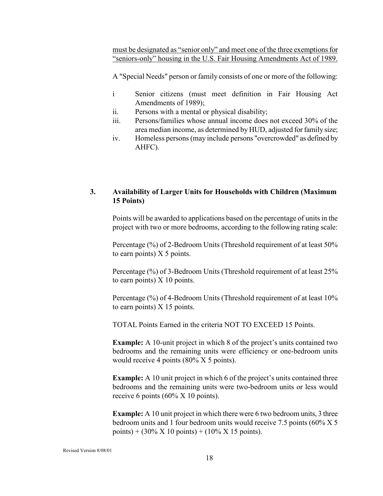<span id="page-17-0"></span>must be designated as "senior only" and meet one of the three exemptions for "seniors-only" housing in the U.S. Fair Housing Amendments Act of 1989.

A "Special Needs" person or family consists of one or more of the following:

- i Senior citizens (must meet definition in Fair Housing Act Amendments of 1989);
- ii. Persons with a mental or physical disability;
- iii. Persons/families whose annual income does not exceed 30% of the area median income, as determined by HUD, adjusted for family size;
- iv. Homeless persons (may include persons "overcrowded" as defined by AHFC).

#### **3. Availability of Larger Units for Households with Children (Maximum 15 Points)**

Points will be awarded to applications based on the percentage of units in the project with two or more bedrooms, according to the following rating scale:

Percentage (%) of 2-Bedroom Units (Threshold requirement of at least 50% to earn points)  $X$  5 points.

Percentage (%) of 3-Bedroom Units (Threshold requirement of at least 25% to earn points) X 10 points.

Percentage (%) of 4-Bedroom Units (Threshold requirement of at least 10% to earn points) X 15 points.

TOTAL Points Earned in the criteria NOT TO EXCEED 15 Points.

**Example:** A 10-unit project in which 8 of the project's units contained two bedrooms and the remaining units were efficiency or one-bedroom units would receive 4 points (80% X 5 points).

**Example:** A 10 unit project in which 6 of the project's units contained three bedrooms and the remaining units were two-bedroom units or less would receive 6 points (60% X 10 points).

**Example:** A 10 unit project in which there were 6 two bedroom units, 3 three bedroom units and 1 four bedroom units would receive 7.5 points (60% X 5 points) +  $(30\% \text{ X } 10 \text{ points}) + (10\% \text{ X } 15 \text{ points}).$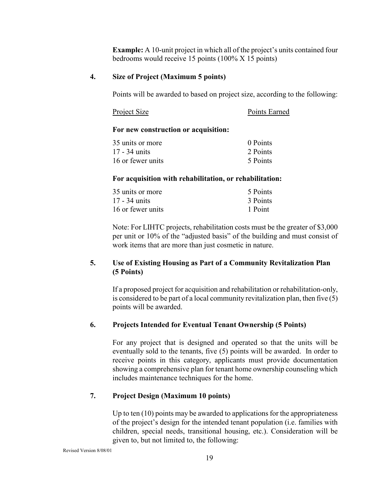**Example:** A 10-unit project in which all of the project's units contained four bedrooms would receive 15 points (100% X 15 points)

#### <span id="page-18-0"></span>**4. Size of Project (Maximum 5 points)**

Points will be awarded to based on project size, according to the following:

| Project Size | Points Earned |
|--------------|---------------|
|--------------|---------------|

#### **For new construction or acquisition:**

| 35 units or more  | 0 Points |
|-------------------|----------|
| 17 - 34 units     | 2 Points |
| 16 or fewer units | 5 Points |

#### **For acquisition with rehabilitation, or rehabilitation:**

| 35 units or more  | 5 Points |
|-------------------|----------|
| 17 - 34 units     | 3 Points |
| 16 or fewer units | 1 Point  |

Note: For LIHTC projects, rehabilitation costs must be the greater of \$3,000 per unit or 10% of the "adjusted basis" of the building and must consist of work items that are more than just cosmetic in nature.

#### **5. Use of Existing Housing as Part of a Community Revitalization Plan (5 Points)**

If a proposed project for acquisition and rehabilitation or rehabilitation-only, is considered to be part of a local community revitalization plan, then five (5) points will be awarded.

#### **6. Projects Intended for Eventual Tenant Ownership (5 Points)**

For any project that is designed and operated so that the units will be eventually sold to the tenants, five (5) points will be awarded. In order to receive points in this category, applicants must provide documentation showing a comprehensive plan for tenant home ownership counseling which includes maintenance techniques for the home.

#### **7. Project Design (Maximum 10 points)**

Up to ten (10) points may be awarded to applications for the appropriateness of the project's design for the intended tenant population (i.e. families with children, special needs, transitional housing, etc.). Consideration will be given to, but not limited to, the following: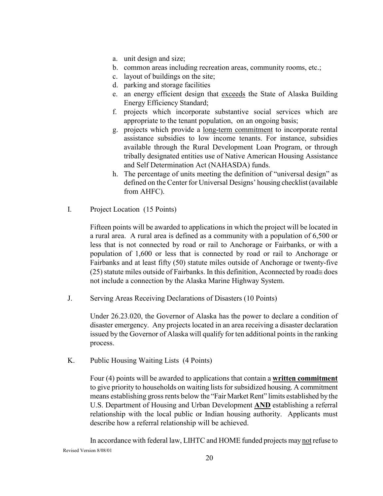- <span id="page-19-0"></span>a. unit design and size;
- b. common areas including recreation areas, community rooms, etc.;
- c. layout of buildings on the site;
- d. parking and storage facilities
- e. an energy efficient design that exceeds the State of Alaska Building Energy Efficiency Standard;
- f. projects which incorporate substantive social services which are appropriate to the tenant population, on an ongoing basis;
- g. projects which provide a long-term commitment to incorporate rental assistance subsidies to low income tenants. For instance, subsidies available through the Rural Development Loan Program, or through tribally designated entities use of Native American Housing Assistance and Self Determination Act (NAHASDA) funds.
- h. The percentage of units meeting the definition of "universal design" as defined on the Center for Universal Designs' housing checklist (available from AHFC).
- I. Project Location (15 Points)

Fifteen points will be awarded to applications in which the project will be located in a rural area. A rural area is defined as a community with a population of 6,500 or less that is not connected by road or rail to Anchorage or Fairbanks, or with a population of 1,600 or less that is connected by road or rail to Anchorage or Fairbanks and at least fifty (50) statute miles outside of Anchorage or twenty-five (25) statute miles outside of Fairbanks. In this definition, Αconnected by road≅ does not include a connection by the Alaska Marine Highway System.

J. Serving Areas Receiving Declarations of Disasters (10 Points)

Under 26.23.020, the Governor of Alaska has the power to declare a condition of disaster emergency. Any projects located in an area receiving a disaster declaration issued by the Governor of Alaska will qualify for ten additional points in the ranking process.

K. Public Housing Waiting Lists (4 Points)

Four (4) points will be awarded to applications that contain a **written commitment** to give priority to households on waiting lists for subsidized housing. A commitment means establishing gross rents below the "Fair Market Rent" limits established by the U.S. Department of Housing and Urban Development **AND** establishing a referral relationship with the local public or Indian housing authority. Applicants must describe how a referral relationship will be achieved.

Revised Version 8/08/01 In accordance with federal law, LIHTC and HOME funded projects may not refuse to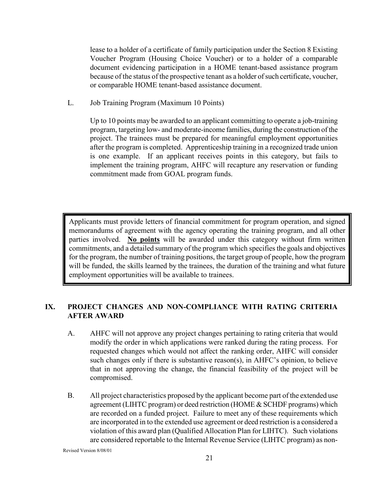<span id="page-20-0"></span>lease to a holder of a certificate of family participation under the Section 8 Existing Voucher Program (Housing Choice Voucher) or to a holder of a comparable document evidencing participation in a HOME tenant-based assistance program because of the status of the prospective tenant as a holder of such certificate, voucher, or comparable HOME tenant-based assistance document.

L. Job Training Program (Maximum 10 Points)

Up to 10 points may be awarded to an applicant committing to operate a job-training program, targeting low- and moderate-income families, during the construction of the project. The trainees must be prepared for meaningful employment opportunities after the program is completed. Apprenticeship training in a recognized trade union is one example. If an applicant receives points in this category, but fails to implement the training program, AHFC will recapture any reservation or funding commitment made from GOAL program funds.

Applicants must provide letters of financial commitment for program operation, and signed memorandums of agreement with the agency operating the training program, and all other parties involved. **No points** will be awarded under this category without firm written commitments, and a detailed summary of the program which specifies the goals and objectives for the program, the number of training positions, the target group of people, how the program will be funded, the skills learned by the trainees, the duration of the training and what future employment opportunities will be available to trainees.

#### **IX. PROJECT CHANGES AND NON-COMPLIANCE WITH RATING CRITERIA AFTER AWARD**

- A. AHFC will not approve any project changes pertaining to rating criteria that would modify the order in which applications were ranked during the rating process. For requested changes which would not affect the ranking order, AHFC will consider such changes only if there is substantive reason(s), in AHFC's opinion, to believe that in not approving the change, the financial feasibility of the project will be compromised.
- B. All project characteristics proposed by the applicant become part of the extended use agreement (LIHTC program) or deed restriction (HOME & SCHDF programs) which are recorded on a funded project. Failure to meet any of these requirements which are incorporated in to the extended use agreement or deed restriction is a considered a violation of this award plan (Qualified Allocation Plan for LIHTC). Such violations are considered reportable to the Internal Revenue Service (LIHTC program) as non-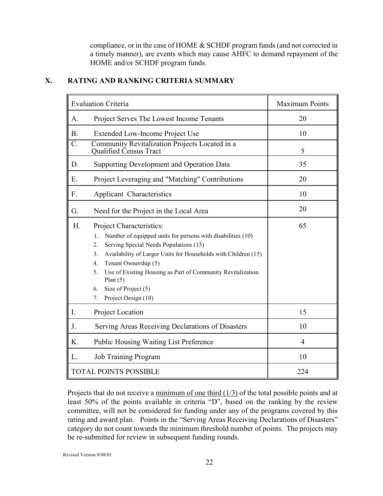compliance, or in the case of HOME & SCHDF program funds (and not corrected in a timely manner), are events which may cause AHFC to demand repayment of the HOME and/or SCHDF program funds.

|                  | <b>Evaluation Criteria</b>                                                                                                                                                                                                                                                                                                                                                                            | <b>Maximum Points</b> |
|------------------|-------------------------------------------------------------------------------------------------------------------------------------------------------------------------------------------------------------------------------------------------------------------------------------------------------------------------------------------------------------------------------------------------------|-----------------------|
| A.               | Project Serves The Lowest Income Tenants                                                                                                                                                                                                                                                                                                                                                              | 20                    |
| <b>B.</b>        | Extended Low-Income Project Use                                                                                                                                                                                                                                                                                                                                                                       | 10                    |
| $\overline{C}$ . | Community Revitalization Projects Located in a<br>Qualified Census Tract                                                                                                                                                                                                                                                                                                                              | 5                     |
| D.               | <b>Supporting Development and Operation Data</b>                                                                                                                                                                                                                                                                                                                                                      | 35                    |
| Ε.               | Project Leveraging and "Matching" Contributions                                                                                                                                                                                                                                                                                                                                                       | 20                    |
| F.               | Applicant Characteristics                                                                                                                                                                                                                                                                                                                                                                             | 10                    |
| G.               | Need for the Project in the Local Area                                                                                                                                                                                                                                                                                                                                                                | 20                    |
| H.               | Project Characteristics:<br>Number of equipped units for persons with disabilities (10)<br>$1_{-}$<br>Serving Special Needs Populations (15)<br>2.<br>Availability of Larger Units for Households with Children (15)<br>3.<br>Tenant Ownership (5)<br>4.<br>Use of Existing Housing as Part of Community Revitalization<br>5.<br>Plan $(5)$<br>Size of Project (5)<br>6.<br>Project Design (10)<br>7. | 65                    |
| I.               | Project Location                                                                                                                                                                                                                                                                                                                                                                                      | 15                    |
| J.               | Serving Areas Receiving Declarations of Disasters                                                                                                                                                                                                                                                                                                                                                     | 10                    |
| K.               | <b>Public Housing Waiting List Preference</b>                                                                                                                                                                                                                                                                                                                                                         | $\overline{4}$        |
| L.               | <b>Job Training Program</b>                                                                                                                                                                                                                                                                                                                                                                           | 10                    |
|                  | <b>TOTAL POINTS POSSIBLE</b>                                                                                                                                                                                                                                                                                                                                                                          | 224                   |

#### <span id="page-21-0"></span>**X. RATING AND RANKING CRITERIA SUMMARY**

Projects that do not receive a minimum of one third  $(1/3)$  of the total possible points and at least 50% of the points available in criteria "D", based on the ranking by the review committee, will not be considered for funding under any of the programs covered by this rating and award plan. Points in the "Serving Areas Receiving Declarations of Disasters" category do not count towards the minimum threshold number of points. The projects may be re-submitted for review in subsequent funding rounds.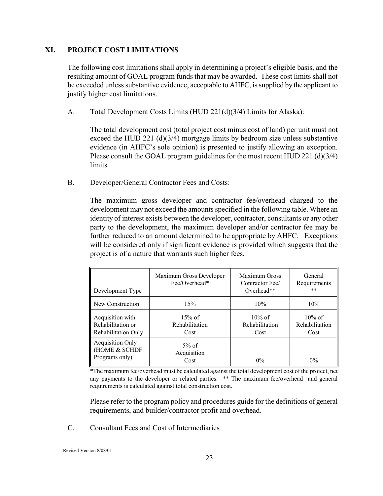#### <span id="page-22-0"></span>**XI. PROJECT COST LIMITATIONS**

The following cost limitations shall apply in determining a project's eligible basis, and the resulting amount of GOAL program funds that may be awarded. These cost limits shall not be exceeded unless substantive evidence, acceptable to AHFC, is supplied by the applicant to justify higher cost limitations.

A. Total Development Costs Limits (HUD 221(d)(3/4) Limits for Alaska):

The total development cost (total project cost minus cost of land) per unit must not exceed the HUD 221 (d)(3/4) mortgage limits by bedroom size unless substantive evidence (in AHFC's sole opinion) is presented to justify allowing an exception. Please consult the GOAL program guidelines for the most recent HUD 221 (d)(3/4) limits.

B. Developer/General Contractor Fees and Costs:

The maximum gross developer and contractor fee/overhead charged to the development may not exceed the amounts specified in the following table. Where an identity of interest exists between the developer, contractor, consultants or any other party to the development, the maximum developer and/or contractor fee may be further reduced to an amount determined to be appropriate by AHFC. Exceptions will be considered only if significant evidence is provided which suggests that the project is of a nature that warrants such higher fees.

| Development Type                                             | Maximum Gross Developer<br>Fee/Overhead* | Maximum Gross<br>Contractor Fee/<br>Overhead** | General<br>Requirements<br>$***$    |
|--------------------------------------------------------------|------------------------------------------|------------------------------------------------|-------------------------------------|
| New Construction                                             | 15%                                      | 10%                                            | 10%                                 |
| Acquisition with<br>Rehabilitation or<br>Rehabilitation Only | $15\%$ of<br>Rehabilitation<br>Cost      | $10\%$ of<br>Rehabilitation<br>Cost            | $10\%$ of<br>Rehabilitation<br>Cost |
| <b>Acquisition Only</b><br>(HOME & SCHDF<br>Programs only)   | $5\%$ of<br>Acquisition<br>Cost          | $0\%$                                          | $0\%$                               |

\*The maximum fee/overhead must be calculated against the total development cost of the project, net any payments to the developer or related parties. \*\* The maximum fee/overhead and general requirements is calculated against total construction cost.

Please refer to the program policy and procedures guide for the definitions of general requirements, and builder/contractor profit and overhead.

C. Consultant Fees and Cost of Intermediaries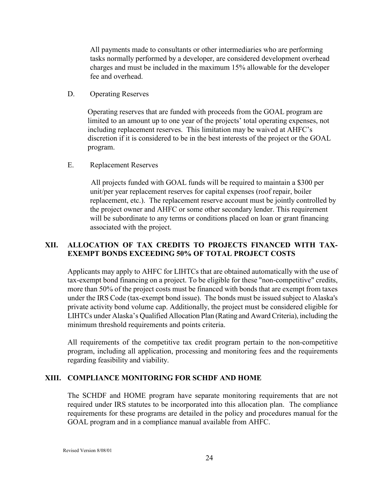<span id="page-23-0"></span>All payments made to consultants or other intermediaries who are performing tasks normally performed by a developer, are considered development overhead charges and must be included in the maximum 15% allowable for the developer fee and overhead.

D. Operating Reserves

Operating reserves that are funded with proceeds from the GOAL program are limited to an amount up to one year of the projects' total operating expenses, not including replacement reserves. This limitation may be waived at AHFC's discretion if it is considered to be in the best interests of the project or the GOAL program.

E. Replacement Reserves

 All projects funded with GOAL funds will be required to maintain a \$300 per unit/per year replacement reserves for capital expenses (roof repair, boiler replacement, etc.). The replacement reserve account must be jointly controlled by the project owner and AHFC or some other secondary lender. This requirement will be subordinate to any terms or conditions placed on loan or grant financing associated with the project.

#### **XII. ALLOCATION OF TAX CREDITS TO PROJECTS FINANCED WITH TAX-EXEMPT BONDS EXCEEDING 50% OF TOTAL PROJECT COSTS**

Applicants may apply to AHFC for LIHTCs that are obtained automatically with the use of tax-exempt bond financing on a project. To be eligible for these "non-competitive" credits, more than 50% of the project costs must be financed with bonds that are exempt from taxes under the IRS Code (tax-exempt bond issue). The bonds must be issued subject to Alaska's private activity bond volume cap. Additionally, the project must be considered eligible for LIHTCs under Alaska's Qualified Allocation Plan (Rating and Award Criteria), including the minimum threshold requirements and points criteria.

All requirements of the competitive tax credit program pertain to the non-competitive program, including all application, processing and monitoring fees and the requirements regarding feasibility and viability.

#### **XIII. COMPLIANCE MONITORING FOR SCHDF AND HOME**

The SCHDF and HOME program have separate monitoring requirements that are not required under IRS statutes to be incorporated into this allocation plan. The compliance requirements for these programs are detailed in the policy and procedures manual for the GOAL program and in a compliance manual available from AHFC.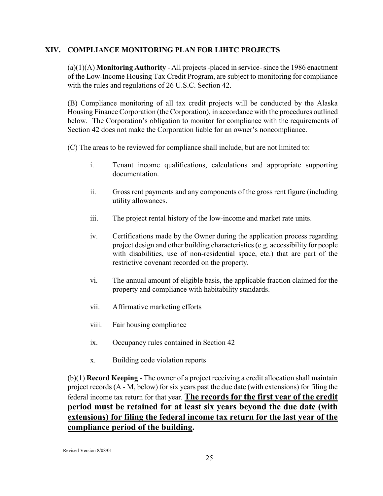#### <span id="page-24-0"></span>**XIV. COMPLIANCE MONITORING PLAN FOR LIHTC PROJECTS**

(a)(1)(A) **Monitoring Authority** - All projects -placed in service- since the 1986 enactment of the Low-Income Housing Tax Credit Program, are subject to monitoring for compliance with the rules and regulations of 26 U.S.C. Section 42.

(B) Compliance monitoring of all tax credit projects will be conducted by the Alaska Housing Finance Corporation (the Corporation), in accordance with the procedures outlined below. The Corporation's obligation to monitor for compliance with the requirements of Section 42 does not make the Corporation liable for an owner's noncompliance.

(C) The areas to be reviewed for compliance shall include, but are not limited to:

- i. Tenant income qualifications, calculations and appropriate supporting documentation.
- ii. Gross rent payments and any components of the gross rent figure (including utility allowances.
- iii. The project rental history of the low-income and market rate units.
- iv. Certifications made by the Owner during the application process regarding project design and other building characteristics (e.g. accessibility for people with disabilities, use of non-residential space, etc.) that are part of the restrictive covenant recorded on the property.
- vi. The annual amount of eligible basis, the applicable fraction claimed for the property and compliance with habitability standards.
- vii. Affirmative marketing efforts
- viii. Fair housing compliance
- ix. Occupancy rules contained in Section 42
- x. Building code violation reports

(b)(1) **Record Keeping** - The owner of a project receiving a credit allocation shall maintain project records (A - M, below) for six years past the due date (with extensions) for filing the federal income tax return for that year. **The records for the first year of the credit period must be retained for at least six years beyond the due date (with extensions) for filing the federal income tax return for the last year of the compliance period of the building.**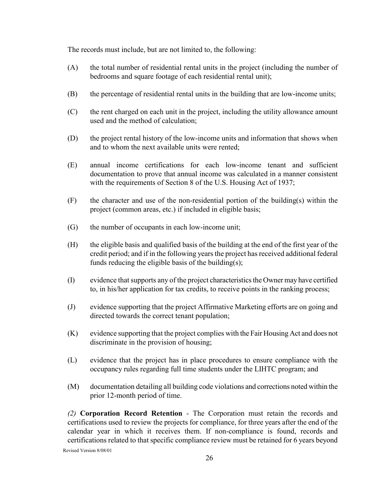The records must include, but are not limited to, the following:

- (A) the total number of residential rental units in the project (including the number of bedrooms and square footage of each residential rental unit);
- (B) the percentage of residential rental units in the building that are low-income units;
- (C) the rent charged on each unit in the project, including the utility allowance amount used and the method of calculation;
- (D) the project rental history of the low-income units and information that shows when and to whom the next available units were rented;
- (E) annual income certifications for each low-income tenant and sufficient documentation to prove that annual income was calculated in a manner consistent with the requirements of Section 8 of the U.S. Housing Act of 1937;
- $(F)$  the character and use of the non-residential portion of the building(s) within the project (common areas, etc.) if included in eligible basis;
- (G) the number of occupants in each low-income unit;
- (H) the eligible basis and qualified basis of the building at the end of the first year of the credit period; and if in the following years the project has received additional federal funds reducing the eligible basis of the building(s);
- (I) evidence that supports any of the project characteristics the Owner may have certified to, in his/her application for tax credits, to receive points in the ranking process;
- (J) evidence supporting that the project Affirmative Marketing efforts are on going and directed towards the correct tenant population;
- (K) evidence supporting that the project complies with the Fair Housing Act and does not discriminate in the provision of housing;
- (L) evidence that the project has in place procedures to ensure compliance with the occupancy rules regarding full time students under the LIHTC program; and
- (M) documentation detailing all building code violations and corrections noted within the prior 12-month period of time.

*(2)* **Corporation Record Retention** - The Corporation must retain the records and certifications used to review the projects for compliance, for three years after the end of the calendar year in which it receives them. If non-compliance is found, records and certifications related to that specific compliance review must be retained for 6 years beyond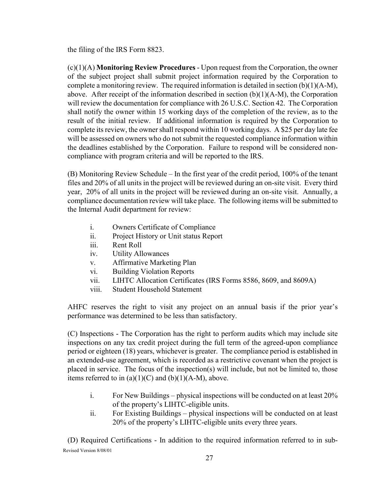the filing of the IRS Form 8823.

(c)(1)(A) **Monitoring Review Procedures** - Upon request from the Corporation, the owner of the subject project shall submit project information required by the Corporation to complete a monitoring review. The required information is detailed in section  $(b)(1)(A-M)$ , above. After receipt of the information described in section (b)(1)(A-M), the Corporation will review the documentation for compliance with 26 U.S.C. Section 42. The Corporation shall notify the owner within 15 working days of the completion of the review, as to the result of the initial review. If additional information is required by the Corporation to complete its review, the owner shall respond within 10 working days. A \$25 per day late fee will be assessed on owners who do not submit the requested compliance information within the deadlines established by the Corporation. Failure to respond will be considered noncompliance with program criteria and will be reported to the IRS.

(B) Monitoring Review Schedule – In the first year of the credit period, 100% of the tenant files and 20% of all units in the project will be reviewed during an on-site visit. Every third year, 20% of all units in the project will be reviewed during an on-site visit. Annually, a compliance documentation review will take place. The following items will be submitted to the Internal Audit department for review:

- i. Owners Certificate of Compliance
- ii. Project History or Unit status Report
- iii. Rent Roll
- iv. Utility Allowances
- v. Affirmative Marketing Plan
- vi. Building Violation Reports
- vii. LIHTC Allocation Certificates (IRS Forms 8586, 8609, and 8609A)
- viii. Student Household Statement

AHFC reserves the right to visit any project on an annual basis if the prior year's performance was determined to be less than satisfactory.

(C) Inspections - The Corporation has the right to perform audits which may include site inspections on any tax credit project during the full term of the agreed-upon compliance period or eighteen (18) years, whichever is greater. The compliance period is established in an extended-use agreement, which is recorded as a restrictive covenant when the project is placed in service. The focus of the inspection(s) will include, but not be limited to, those items referred to in  $(a)(1)(C)$  and  $(b)(1)(A-M)$ , above.

- i. For New Buildings physical inspections will be conducted on at least 20% of the property's LIHTC-eligible units.
- ii. For Existing Buildings physical inspections will be conducted on at least 20% of the property's LIHTC-eligible units every three years.

Revised Version 8/08/01 (D) Required Certifications - In addition to the required information referred to in sub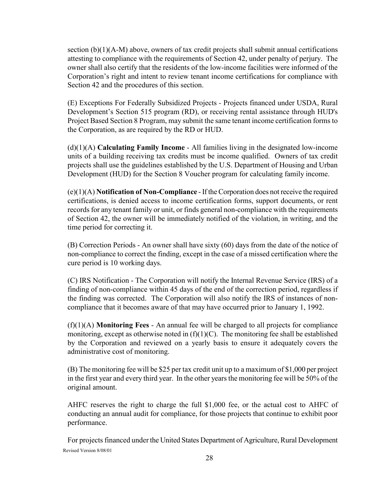section  $(b)(1)(A-M)$  above, owners of tax credit projects shall submit annual certifications attesting to compliance with the requirements of Section 42, under penalty of perjury. The owner shall also certify that the residents of the low-income facilities were informed of the Corporation's right and intent to review tenant income certifications for compliance with Section 42 and the procedures of this section.

(E) Exceptions For Federally Subsidized Projects *-* Projects financed under USDA, Rural Development's Section 515 program (RD), or receiving rental assistance through HUD's Project Based Section 8 Program, may submit the same tenant income certification forms to the Corporation, as are required by the RD or HUD.

(d)(1)(A) **Calculating Family Income** - All families living in the designated low-income units of a building receiving tax credits must be income qualified. Owners of tax credit projects shall use the guidelines established by the U.S. Department of Housing and Urban Development (HUD) for the Section 8 Voucher program for calculating family income.

(e)(1)(A) **Notification of Non-Compliance** - If the Corporation does not receive the required certifications, is denied access to income certification forms, support documents, or rent records for any tenant family or unit, or finds general non-compliance with the requirements of Section 42, the owner will be immediately notified of the violation, in writing, and the time period for correcting it.

(B) Correction Periods - An owner shall have sixty (60) days from the date of the notice of non-compliance to correct the finding, except in the case of a missed certification where the cure period is 10 working days.

(C) IRS Notification - The Corporation will notify the Internal Revenue Service (IRS) of a finding of non-compliance within 45 days of the end of the correction period, regardless if the finding was corrected. The Corporation will also notify the IRS of instances of noncompliance that it becomes aware of that may have occurred prior to January 1, 1992.

(f)(1)(A) **Monitoring Fees** - An annual fee will be charged to all projects for compliance monitoring, except as otherwise noted in  $(f)(1)(C)$ . The monitoring fee shall be established by the Corporation and reviewed on a yearly basis to ensure it adequately covers the administrative cost of monitoring.

(B) The monitoring fee will be \$25 per tax credit unit up to a maximum of \$1,000 per project in the first year and every third year. In the other years the monitoring fee will be 50% of the original amount.

AHFC reserves the right to charge the full \$1,000 fee, or the actual cost to AHFC of conducting an annual audit for compliance, for those projects that continue to exhibit poor performance.

Revised Version 8/08/01 For projects financed under the United States Department of Agriculture, Rural Development